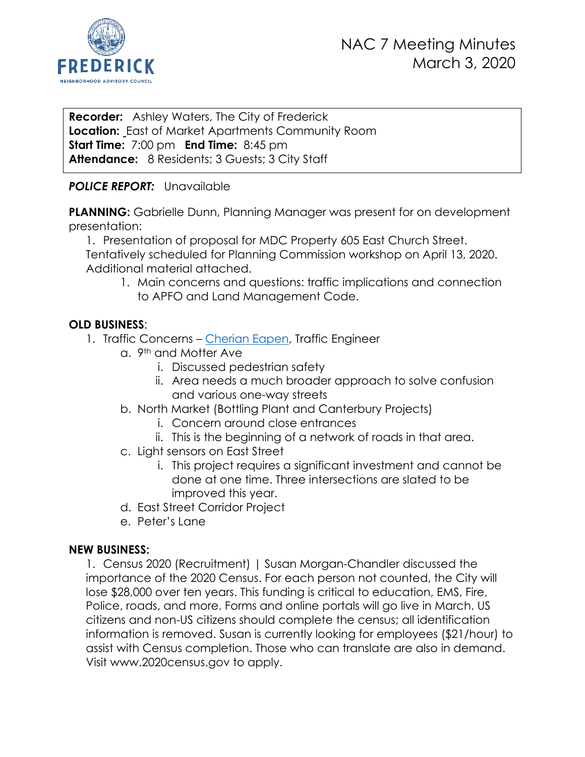

**Recorder:** Ashley Waters, The City of Frederick **Location:** East of Market Apartments Community Room **Start Time:** 7:00 pm **End Time:** 8:45 pm Attendance: 8 Residents; 3 Guests; 3 City Staff

# *POLICE REPORT:* Unavailable

**PLANNING:** Gabrielle Dunn, Planning Manager was present for on development presentation:

1. Presentation of proposal for MDC Property 605 East Church Street. Tentatively scheduled for Planning Commission workshop on April 13, 2020. Additional material attached.

1. Main concerns and questions: traffic implications and connection to APFO and Land Management Code.

# **OLD BUSINESS**:

- 1. Traffic Concerns [Cherian Eapen,](mailto:ceapen@cityoffrederickmd.gov) Traffic Engineer
	- a. 9th and Motter Ave
		- i. Discussed pedestrian safety
		- ii. Area needs a much broader approach to solve confusion and various one-way streets
	- b. North Market (Bottling Plant and Canterbury Projects)
		- i. Concern around close entrances
		- ii. This is the beginning of a network of roads in that area.
	- c. Light sensors on East Street
		- i. This project requires a significant investment and cannot be done at one time. Three intersections are slated to be improved this year.
	- d. East Street Corridor Project
	- e. Peter's Lane

# **NEW BUSINESS:**

1. Census 2020 (Recruitment) | Susan Morgan-Chandler discussed the importance of the 2020 Census. For each person not counted, the City will lose \$28,000 over ten years. This funding is critical to education, EMS, Fire, Police, roads, and more. Forms and online portals will go live in March. US citizens and non-US citizens should complete the census; all identification information is removed. Susan is currently looking for employees (\$21/hour) to assist with Census completion. Those who can translate are also in demand. Visit www.2020census.gov to apply.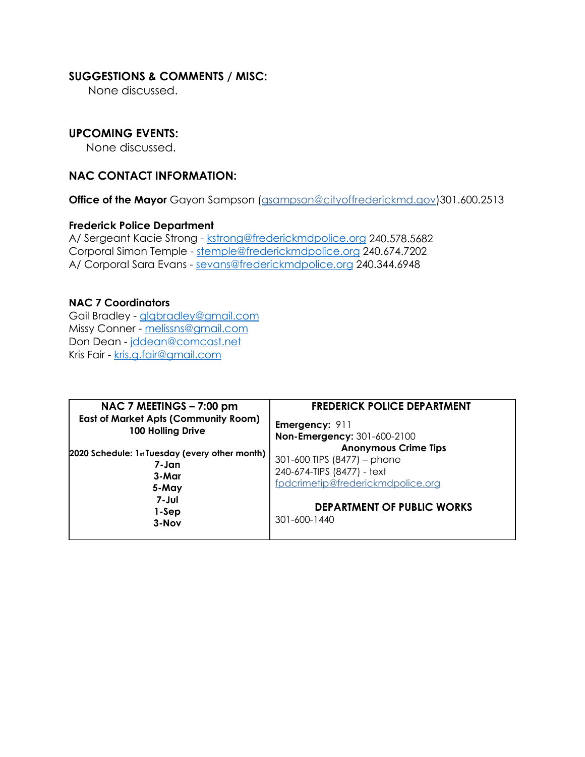## **SUGGESTIONS & COMMENTS / MISC:**

None discussed.

## **UPCOMING EVENTS:**

None discussed.

## **NAC CONTACT INFORMATION:**

**Office of the Mayor** Gayon Sampson [\(gsampson@cityoffrederickmd.gov\)](mailto:gsampson@cityoffrederickmd.gov)301.600.2513

### **Frederick Police Department**

A/ Sergeant Kacie Strong - [kstrong@frederickmdpolice.org](mailto:kstrong@frederickmdpolice.org) 240.578.5682 Corporal Simon Temple - [stemple@frederickmdpolice.org](mailto:stemple@frederickmdpolice.org) 240.674.7202 A/ Corporal Sara Evans - [sevans@frederickmdpolice.org](mailto:sevans@frederickmdpolice.org) 240.344.6948

#### **NAC 7 Coordinators**

Gail Bradley - [glgbradley@gmail.com](mailto:glgbradley@gmail.com) Missy Conner - [melissns@gmail.com](mailto:melissns@gmail.com) Don Dean - [jddean@comcast.net](mailto:jddean@comcast.net) Kris Fair - [kris.g.fair@gmail.com](mailto:kris.g.fair@gmail.com)

| NAC 7 MEETINGS - 7:00 pm                       | <b>FREDERICK POLICE DEPARTMENT</b>                |
|------------------------------------------------|---------------------------------------------------|
| <b>East of Market Apts (Community Room)</b>    | <b>Emergency: 911</b>                             |
| 100 Holling Drive                              | Non-Emergency: 301-600-2100                       |
| 2020 Schedule: 1st Tuesday (every other month) | <b>Anonymous Crime Tips</b>                       |
| 7-Jan                                          | 301-600 TIPS (8477) – phone                       |
| 3-Mar                                          | 240-674-TIPS (8477) - text                        |
| 5-May                                          | fpdcrimetip@frederickmdpolice.org                 |
| 7-Jul<br>1-Sep<br>$3-Nov$                      | <b>DEPARTMENT OF PUBLIC WORKS</b><br>301-600-1440 |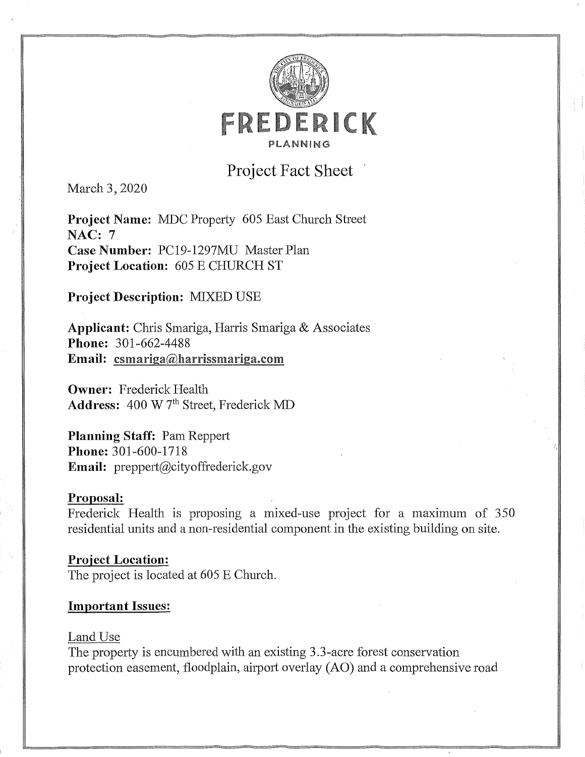

# **Project Fact Sheet**

March 3, 2020

Project Name: MDC Property 605 East Church Street **NAC: 7** Case Number: PC19-1297MU Master Plan Project Location: 605 E CHURCH ST

# **Project Description: MIXED USE**

Applicant: Chris Smariga, Harris Smariga & Associates Phone: 301-662-4488 Email: csmariga@harrissmariga.com

**Owner:** Frederick Health Address: 400 W 7<sup>th</sup> Street, Frederick MD

**Planning Staff: Pam Reppert** Phone: 301-600-1718 Email: preppert@cityoffrederick.gov

### Proposal:

Frederick Health is proposing a mixed-use project for a maximum of 350 residential units and a non-residential component in the existing building on site.

**Project Location:** The project is located at 605 E Church.

### **Important Issues:**

#### Land Use

The property is encumbered with an existing 3.3-acre forest conservation protection easement, floodplain, airport overlay (AO) and a comprehensive road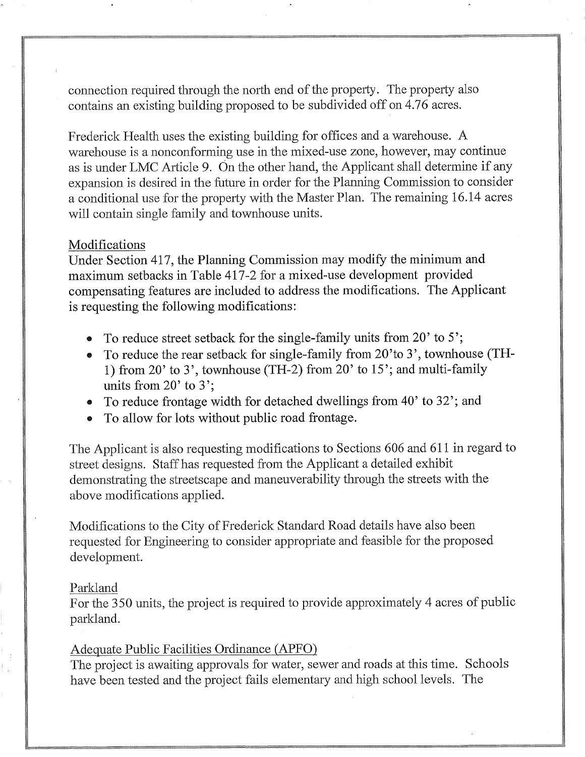connection required through the north end of the property. The property also contains an existing building proposed to be subdivided off on 4.76 acres.

Frederick Health uses the existing building for offices and a warehouse. A warehouse is a nonconforming use in the mixed-use zone, however, may continue as is under LMC Article 9. On the other hand, the Applicant shall determine if any expansion is desired in the future in order for the Planning Commission to consider a conditional use for the property with the Master Plan. The remaining 16.14 acres will contain single family and townhouse units.

### Modifications

Under Section 417, the Planning Commission may modify the minimum and maximum setbacks in Table 417-2 for a mixed-use development provided compensating features are included to address the modifications. The Applicant is requesting the following modifications:

- To reduce street setback for the single-family units from 20' to 5'.
- To reduce the rear setback for single-family from 20'to 3', townhouse (TH-1) from 20' to 3', townhouse (TH-2) from 20' to 15'; and multi-family units from  $20'$  to  $3'$ ;
- To reduce frontage width for detached dwellings from 40' to 32'; and
- To allow for lots without public road frontage.

The Applicant is also requesting modifications to Sections 606 and 611 in regard to street designs. Staff has requested from the Applicant a detailed exhibit demonstrating the streetscape and maneuverability through the streets with the above modifications applied.

Modifications to the City of Frederick Standard Road details have also been requested for Engineering to consider appropriate and feasible for the proposed development.

#### Parkland

For the 350 units, the project is required to provide approximately 4 acres of public parkland.

### Adequate Public Facilities Ordinance (APFO)

The project is awaiting approvals for water, sewer and roads at this time. Schools have been tested and the project fails elementary and high school levels. The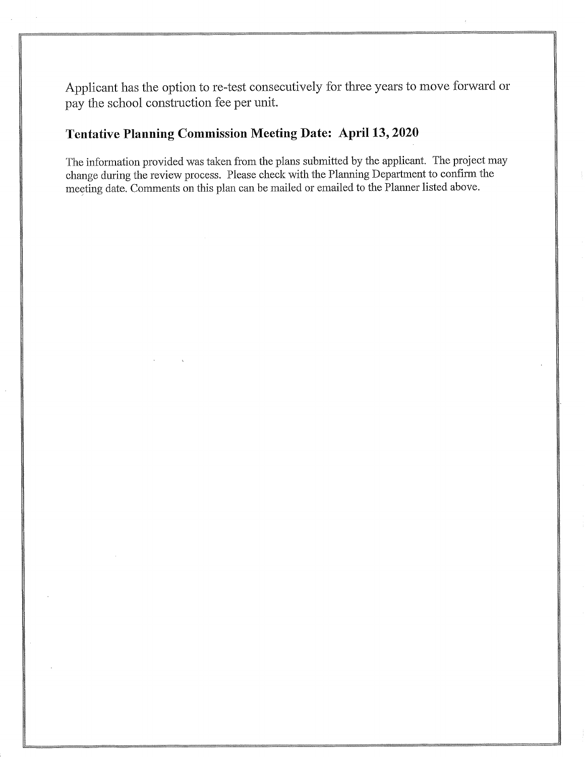Applicant has the option to re-test consecutively for three years to move forward or pay the school construction fee per unit.

# **Tentative Planning Commission Meeting Date: April 13, 2020**

The information provided was taken from the plans submitted by the applicant. The project may change during the review process. Please check with the Planning Department to confirm the meeting date. Comments on this plan can be mailed or emailed to the Planner listed above.